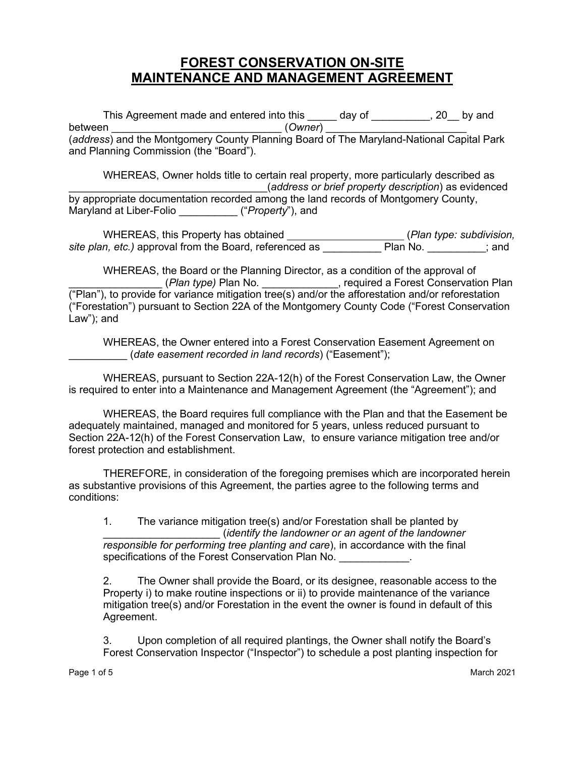## **FOREST CONSERVATION ON-SITE MAINTENANCE AND MANAGEMENT AGREEMENT**

This Agreement made and entered into this \_\_\_\_\_ day of \_\_\_\_\_\_\_\_\_, 20\_\_ by and between \_\_\_\_\_\_\_\_\_\_\_\_\_\_\_\_\_\_\_\_\_\_\_\_\_\_\_\_\_ (*Owner*) \_\_\_\_\_\_\_\_\_\_\_\_\_\_\_\_\_\_\_\_\_\_\_\_ (*address*) and the Montgomery County Planning Board of The Maryland-National Capital Park and Planning Commission (the "Board").

WHEREAS, Owner holds title to certain real property, more particularly described as \_\_\_\_\_\_\_\_\_\_\_\_\_\_\_\_\_\_\_\_\_\_\_\_\_\_\_\_\_\_\_\_\_\_(*address or brief property description*) as evidenced by appropriate documentation recorded among the land records of Montgomery County, Maryland at Liber-Folio \_\_\_\_\_\_\_\_\_\_ ("*Property*"), and

WHEREAS, this Property has obtained **\_\_\_\_\_\_\_\_\_\_\_\_\_\_\_\_\_\_\_\_\_\_\_** (*Plan type: subdivision, site plan, etc.)* approval from the Board, referenced as \_\_\_\_\_\_\_\_\_\_ Plan No. \_\_\_\_\_\_\_\_\_\_; and

WHEREAS, the Board or the Planning Director, as a condition of the approval of \_\_\_\_\_\_\_\_\_\_\_\_\_\_\_\_ (*Plan type)* Plan No. \_\_\_\_\_\_\_\_\_\_\_\_\_, required a Forest Conservation Plan ("Plan"), to provide for variance mitigation tree(s) and/or the afforestation and/or reforestation ("Forestation") pursuant to Section 22A of the Montgomery County Code ("Forest Conservation Law"); and

WHEREAS, the Owner entered into a Forest Conservation Easement Agreement on \_\_\_\_\_\_\_\_\_\_ (*date easement recorded in land records*) ("Easement");

WHEREAS, pursuant to Section 22A-12(h) of the Forest Conservation Law, the Owner is required to enter into a Maintenance and Management Agreement (the "Agreement"); and

WHEREAS, the Board requires full compliance with the Plan and that the Easement be adequately maintained, managed and monitored for 5 years, unless reduced pursuant to Section 22A-12(h) of the Forest Conservation Law, to ensure variance mitigation tree and/or forest protection and establishment.

THEREFORE, in consideration of the foregoing premises which are incorporated herein as substantive provisions of this Agreement, the parties agree to the following terms and conditions:

1. The variance mitigation tree(s) and/or Forestation shall be planted by \_\_\_\_\_\_\_\_\_\_\_\_\_\_\_\_\_\_\_\_ (*identify the landowner or an agent of the landowner responsible for performing tree planting and care*), in accordance with the final specifications of the Forest Conservation Plan No.

2. The Owner shall provide the Board, or its designee, reasonable access to the Property i) to make routine inspections or ii) to provide maintenance of the variance mitigation tree(s) and/or Forestation in the event the owner is found in default of this Agreement.

3. Upon completion of all required plantings, the Owner shall notify the Board's Forest Conservation Inspector ("Inspector") to schedule a post planting inspection for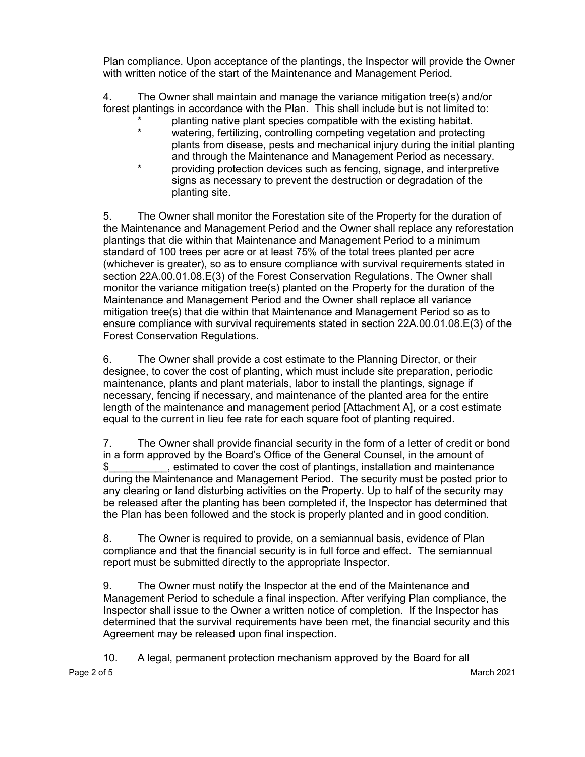Plan compliance. Upon acceptance of the plantings, the Inspector will provide the Owner with written notice of the start of the Maintenance and Management Period.

4. The Owner shall maintain and manage the variance mitigation tree(s) and/or forest plantings in accordance with the Plan. This shall include but is not limited to:

- \* planting native plant species compatible with the existing habitat.
- watering, fertilizing, controlling competing vegetation and protecting plants from disease, pests and mechanical injury during the initial planting and through the Maintenance and Management Period as necessary.
- providing protection devices such as fencing, signage, and interpretive signs as necessary to prevent the destruction or degradation of the planting site.

5. The Owner shall monitor the Forestation site of the Property for the duration of the Maintenance and Management Period and the Owner shall replace any reforestation plantings that die within that Maintenance and Management Period to a minimum standard of 100 trees per acre or at least 75% of the total trees planted per acre (whichever is greater), so as to ensure compliance with survival requirements stated in section 22A.00.01.08.E(3) of the Forest Conservation Regulations. The Owner shall monitor the variance mitigation tree(s) planted on the Property for the duration of the Maintenance and Management Period and the Owner shall replace all variance mitigation tree(s) that die within that Maintenance and Management Period so as to ensure compliance with survival requirements stated in section 22A.00.01.08.E(3) of the Forest Conservation Regulations.

6. The Owner shall provide a cost estimate to the Planning Director, or their designee, to cover the cost of planting, which must include site preparation, periodic maintenance, plants and plant materials, labor to install the plantings, signage if necessary, fencing if necessary, and maintenance of the planted area for the entire length of the maintenance and management period [Attachment A], or a cost estimate equal to the current in lieu fee rate for each square foot of planting required.

7. The Owner shall provide financial security in the form of a letter of credit or bond in a form approved by the Board's Office of the General Counsel, in the amount of \$\_\_\_\_\_\_\_\_\_\_, estimated to cover the cost of plantings, installation and maintenance during the Maintenance and Management Period. The security must be posted prior to any clearing or land disturbing activities on the Property. Up to half of the security may be released after the planting has been completed if, the Inspector has determined that the Plan has been followed and the stock is properly planted and in good condition.

8. The Owner is required to provide, on a semiannual basis, evidence of Plan compliance and that the financial security is in full force and effect. The semiannual report must be submitted directly to the appropriate Inspector.

9. The Owner must notify the Inspector at the end of the Maintenance and Management Period to schedule a final inspection. After verifying Plan compliance, the Inspector shall issue to the Owner a written notice of completion. If the Inspector has determined that the survival requirements have been met, the financial security and this Agreement may be released upon final inspection.

Page 2 of 5 March 2021 10. A legal, permanent protection mechanism approved by the Board for all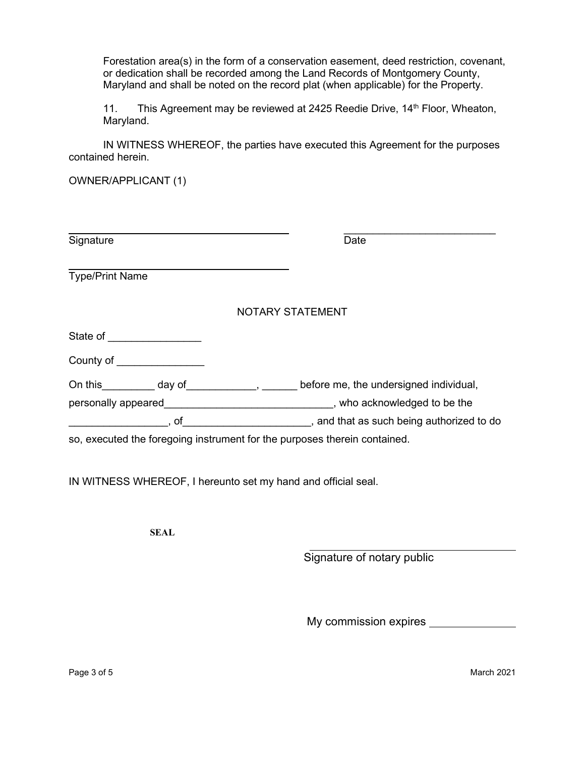Forestation area(s) in the form of a conservation easement, deed restriction, covenant, or dedication shall be recorded among the Land Records of Montgomery County, Maryland and shall be noted on the record plat (when applicable) for the Property.

11. This Agreement may be reviewed at 2425 Reedie Drive, 14<sup>th</sup> Floor, Wheaton, Maryland.

IN WITNESS WHEREOF, the parties have executed this Agreement for the purposes contained herein.

OWNER/APPLICANT (1)

| Signature                       |                                         | Date                                                                      |
|---------------------------------|-----------------------------------------|---------------------------------------------------------------------------|
| <b>Type/Print Name</b>          |                                         |                                                                           |
|                                 |                                         | <b>NOTARY STATEMENT</b>                                                   |
| State of <u>_______________</u> |                                         |                                                                           |
|                                 | County of the country of the country of |                                                                           |
|                                 |                                         | On this day of the state of the undersigned individual,                   |
|                                 |                                         |                                                                           |
|                                 | . of                                    | , and that as such being authorized to do                                 |
|                                 |                                         | so, executed the foregoing instrument for the purposes therein contained. |
|                                 |                                         |                                                                           |

IN WITNESS WHEREOF, I hereunto set my hand and official seal.

**SEAL**

Signature of notary public

My commission expires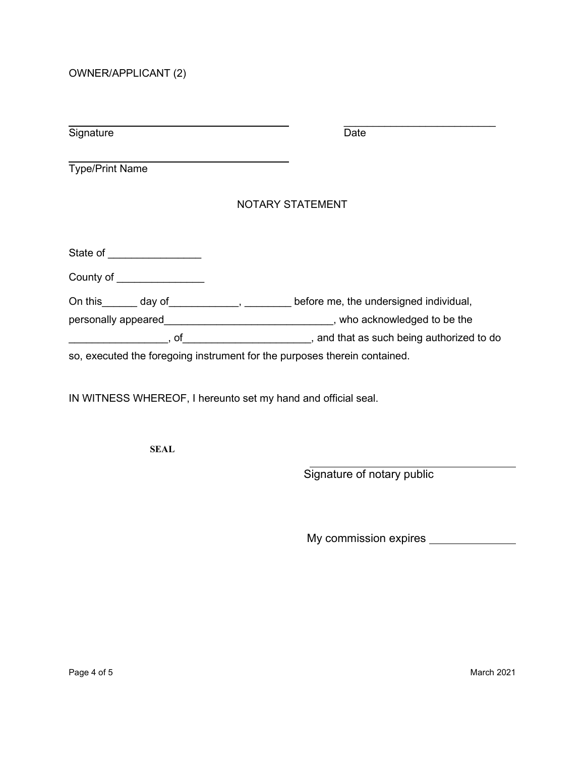OWNER/APPLICANT (2)

| Signature                                                                 | Date                                                                                                            |
|---------------------------------------------------------------------------|-----------------------------------------------------------------------------------------------------------------|
| <b>Type/Print Name</b>                                                    |                                                                                                                 |
|                                                                           | <b>NOTARY STATEMENT</b>                                                                                         |
| State of <u>_______________</u>                                           |                                                                                                                 |
| County of the country of the country of                                   |                                                                                                                 |
| On this day of , before me, the undersigned individual,                   |                                                                                                                 |
|                                                                           |                                                                                                                 |
|                                                                           | of of contract the state of the state of the state of the state of the state of the state of the state of the s |
| so, executed the foregoing instrument for the purposes therein contained. |                                                                                                                 |

IN WITNESS WHEREOF, I hereunto set my hand and official seal.

**SEAL**

Signature of notary public

My commission expires \_\_\_\_\_\_\_\_\_\_\_\_\_\_\_